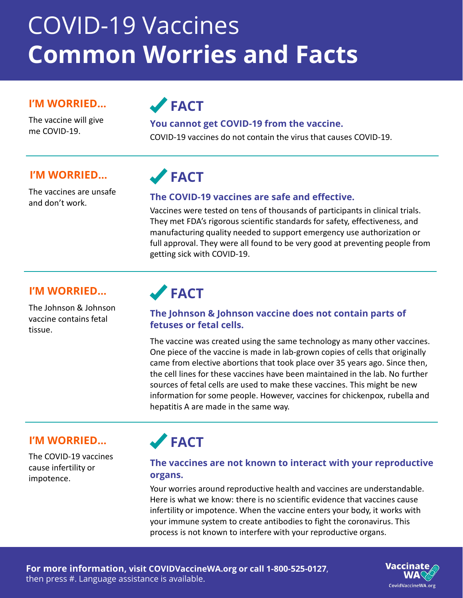# COVID-19 Vaccines **Common Worries and Facts**

#### **I'M WORRIED...**

The vaccine will give

# **FACT**

### me COVID-19. **You cannot get COVID-19 from the vaccine.**

COVID-19 vaccines do not contain the virus that causes COVID-19.

#### **I'M WORRIED... FACT**

The vaccines are unsafe

### and don't work. **The COVID-19 vaccines are safe and effective.**

Vaccines were tested on tens of thousands of participants in clinical trials. They met FDA's rigorous scientific standards for safety, effectiveness, and manufacturing quality needed to support emergency use authorization or full approval. They were all found to be very good at preventing people from getting sick with COVID-19.

#### **I'M WORRIED... FACT**

The Johnson & Johnson vaccine contains fetal tissue.

#### **The Johnson & Johnson vaccine does not contain parts of fetuses or fetal cells.**

The vaccine was created using the same technology as many other vaccines. One piece of the vaccine is made in lab-grown copies of cells that originally came from elective abortions that took place over 35 years ago. Since then, the cell lines for these vaccines have been maintained in the lab. No further sources of fetal cells are used to make these vaccines. This might be new information for some people. However, vaccines for chickenpox, rubella and hepatitis A are made in the same way.

#### **I'M WORRIED... FACT**

The COVID-19 vaccines cause infertility or impotence.

#### **The vaccines are not known to interact with your reproductive organs.**

Your worries around reproductive health and vaccines are understandable. Here is what we know: there is no scientific evidence that vaccines cause infertility or impotence. When the vaccine enters your body, it works with your immune system to create antibodies to fight the coronavirus. This process is not known to interfere with your reproductive organs.